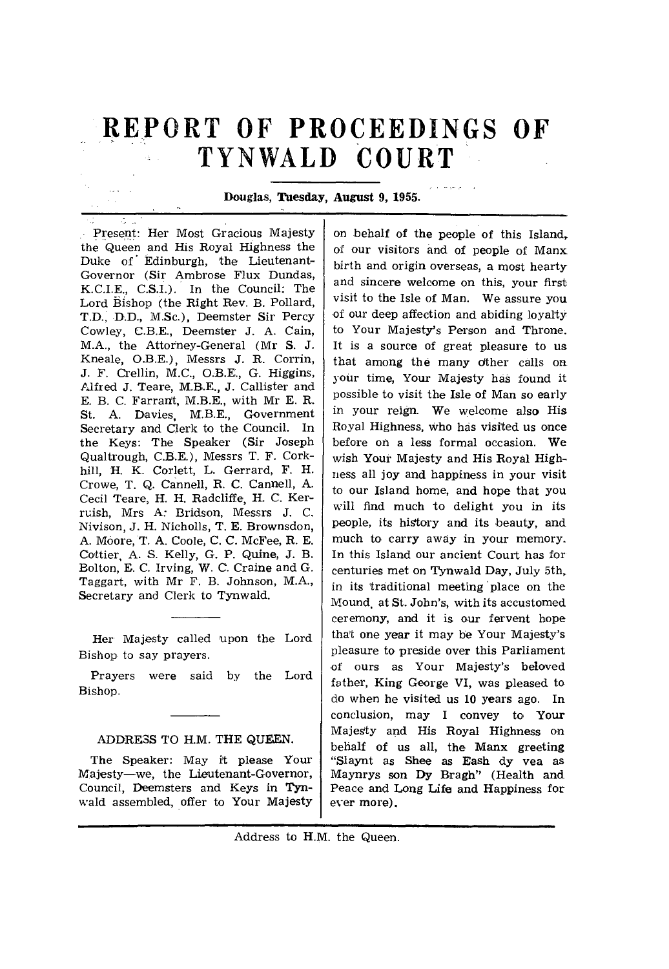# **REPORT OF PROCEEDINGS OF TYNWALD COURT**

## **Douglas, Tuesday, August 9, 1955.**

Present: Her Most Gracious Majesty the Queen and His Royal Highness the Duke of Edinburgh, the Lieutenant-Governor (Sir Ambrose Flux Dundas, K.C.I.E., C.S.I.). In the Council: The Lord Bishop (the Right Rev. B. Pollard, **T.D., D.D.,** M.Sc.), Deemster Sir Percy Cowley, C.B.E., Deemster J. A. Cain, M.A., the Attorney-General (Mr S. J. Kneale, **0.B.E.),** Messrs J. R. Corrin, J. F. Crellin, M.C., 0.B.E., G. Higgins, Alfred J. Teare, M.B.E., J. Callister and E. B. C. Farrant, M.B.E., with Mr E. R. St. A. Davies, M.B.E., Government Secretary and Clerk to the Council. In the Keys: The Speaker (Sir Joseph Qualtrough, C.B.E.), Messrs T. F. Corkhill, H. K. Corlett, L. Gerrard, F. H. Crowe, T. Q. Cannell, R. C. Cannell, A. Cecil Teare, H. H. Radcliffe, H. C. Kerruish, Mrs A: Bridson, Messrs J. C. Nivison, J. H. Nicholls, T. **E.** Brownsdon, A. Moore, T. A. Coole, C. C. McFee, R. E. Cattier, A. S. Kelly, G. **P. Quine, J.** B. Bolton, E. C. Irving, W. C. Craine and G. Taggart, with Mr F. B. Johnson, M.A., Secretary and Clerk to Tynwald.

Her Majesty called upon the Lord Bishop to say prayers.

Prayers were said by the Lord Bishop.

# ADDRESS TO H.M. THE **QUEEN.**

**The Speaker:** May it **please Your**  Majesty—we, the **Lieutenant-Governor,**  Council, Deemsters and **Keys in Tynwald** assembled, offer to Your **Majesty** 

on behalf of the people of this Island, of our visitors and of people of Manx birth and origin overseas, a most hearty and sincere welcome on this, your first visit to the Isle of Man. We assure you of our deep affection and abiding loyalty to Your Majesty's Person and Throne. It is a source of great pleasure to us that among the many dther calls on your time, Your Majesty has found it possible to visit the Isle of Man so early in your reign. We welcome also His Royal Highness, who has visited us once before on a less formal occasion. We wish Your Majesty and His Royal Highness all joy and happiness in your visit to our Island home, and hope that you will find much to delight you in its people, its history and its beauty, and much to carry away in your memory. In this Island our ancient Court has for centuries met on Tynwald Day, July 5th, in its traditional meeting 'place on the Mound, at St. John's, with its accustomed ceremony, **and it is our fervent** hope that one **year it** may be Your Majesty's pleasure to preside over this Parliament of ours as Your Majesty's beloved father, King George VI, was pleased to do when he visited us 10 years ago. In conclusion, may I convey to Your Majesty and His Royal Highness on behalf of us all, the Manx greeting **"Slaynt as Shee as Eash dy yea as Maynrys son Dy Bragh" (Health and Peace and Long Life and Happiness for ever more).** 

#### Address to H.M. the Queen.